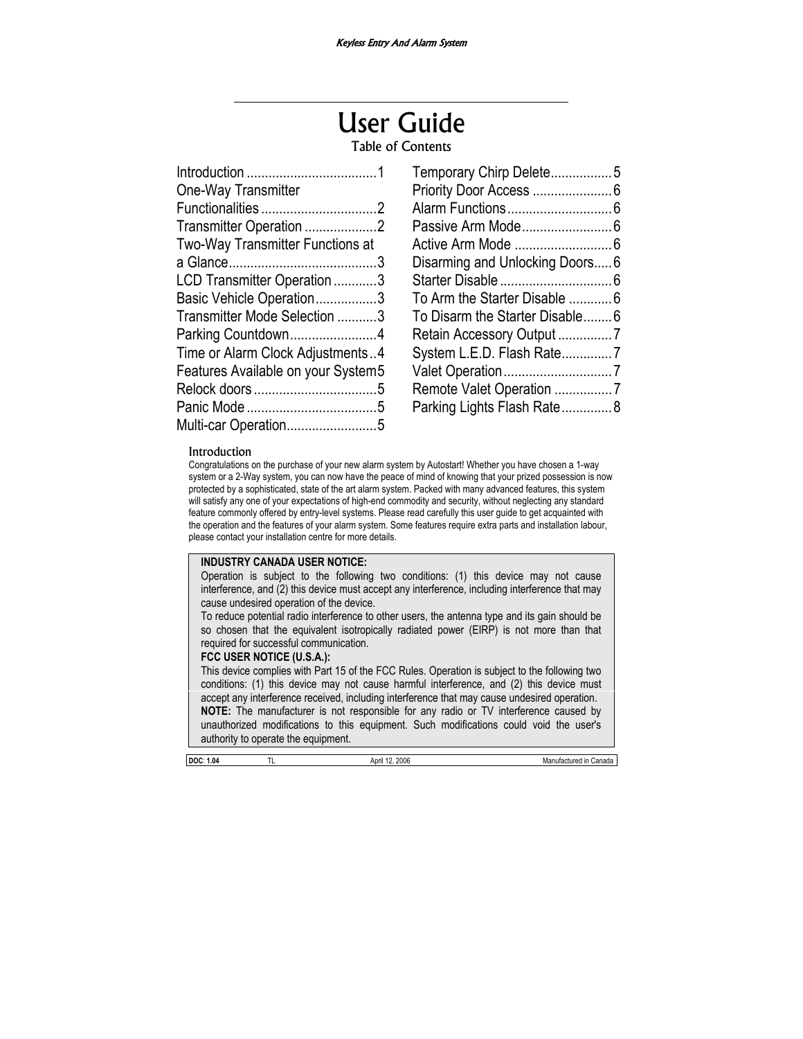# User Guide

## Table of Contents

| One-Way Transmitter                |
|------------------------------------|
|                                    |
| Transmitter Operation 2            |
| Two-Way Transmitter Functions at   |
|                                    |
| LCD Transmitter Operation 3        |
| Basic Vehicle Operation3           |
| Transmitter Mode Selection 3       |
| Parking Countdown4                 |
| Time or Alarm Clock Adjustments4   |
| Features Available on your System5 |
|                                    |
|                                    |
| Multi-car Operation5               |

| Temporary Chirp Delete5        |  |
|--------------------------------|--|
|                                |  |
|                                |  |
|                                |  |
|                                |  |
| Disarming and Unlocking Doors6 |  |
|                                |  |
| To Arm the Starter Disable  6  |  |
| To Disarm the Starter Disable6 |  |
| Retain Accessory Output7       |  |
| System L.E.D. Flash Rate7      |  |
|                                |  |
| Remote Valet Operation 7       |  |
| Parking Lights Flash Rate8     |  |
|                                |  |

#### Introduction

Congratulations on the purchase of your new alarm system by Autostart! Whether you have chosen a 1-way system or a 2-Way system, you can now have the peace of mind of knowing that your prized possession is now protected by a sophisticated, state of the art alarm system. Packed with many advanced features, this system will satisfy any one of your expectations of high-end commodity and security, without neglecting any standard feature commonly offered by entry-level systems. Please read carefully this user guide to get acquainted with the operation and the features of your alarm system. Some features require extra parts and installation labour, please contact your installation centre for more details.

#### **INDUSTRY CANADA USER NOTICE:**

Operation is subject to the following two conditions: (1) this device may not cause interference, and (2) this device must accept any interference, including interference that may cause undesired operation of the device.

To reduce potential radio interference to other users, the antenna type and its gain should be so chosen that the equivalent isotropically radiated power (EIRP) is not more than that required for successful communication.

#### **FCC USER NOTICE (U.S.A.):**

This device complies with Part 15 of the FCC Rules. Operation is subject to the following two conditions: (1) this device may not cause harmful interference, and (2) this device must accept any interference received, including interference that may cause undesired operation. **NOTE:** The manufacturer is not responsible for any radio or TV interference caused by unauthorized modifications to this equipment. Such modifications could void the user's authority to operate the equipment.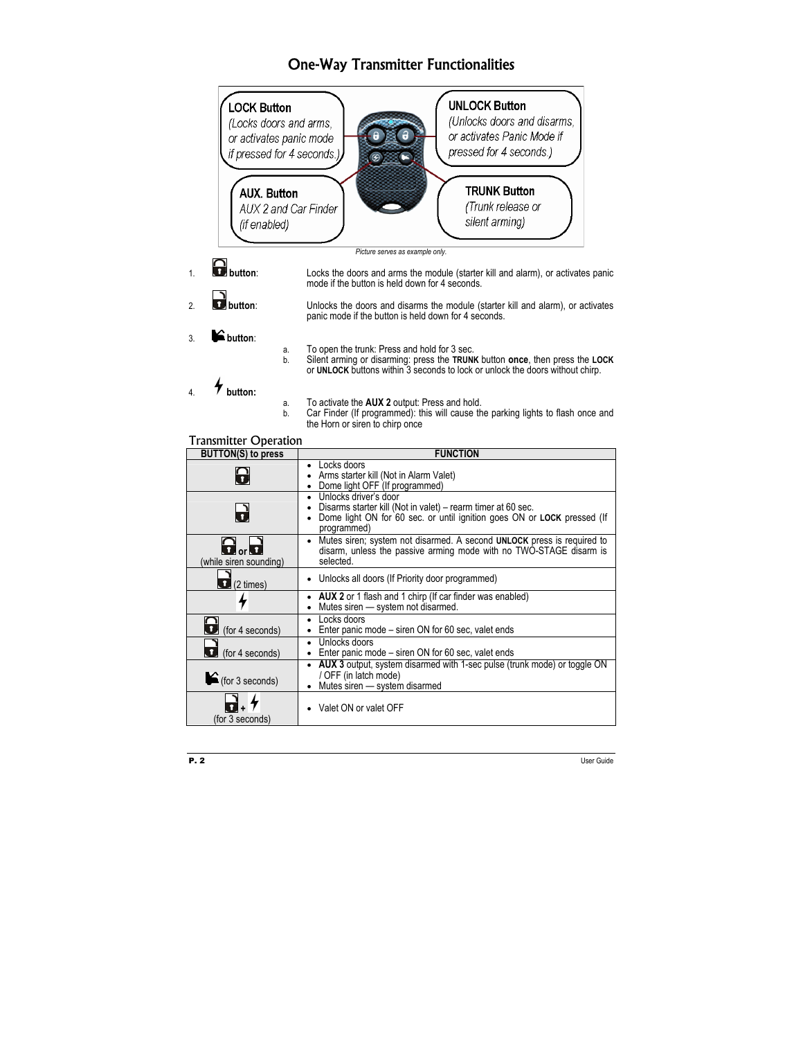# One-Way Transmitter Functionalities

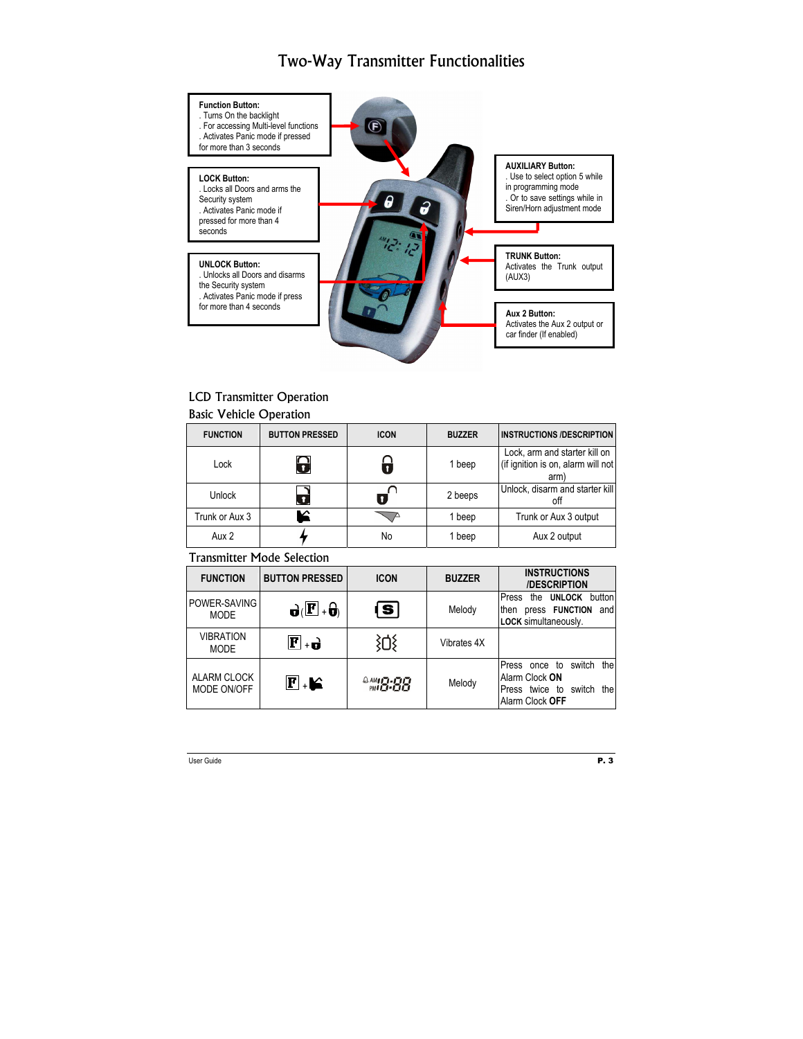# Two-Way Transmitter Functionalities



# LCD Transmitter Operation

#### Basic Vehicle Operation

| <b>FUNCTION</b> | <b>BUTTON PRESSED</b> | <b>ICON</b> | <b>BUZZER</b> | <b>INSTRUCTIONS /DESCRIPTION</b>                                            |
|-----------------|-----------------------|-------------|---------------|-----------------------------------------------------------------------------|
| Lock            | 0                     |             | 1 beep        | Lock, arm and starter kill on<br>(if ignition is on, alarm will not<br>arm) |
| Unlock          | ø                     |             | 2 beeps       | Unlock, disarm and starter kill<br>off                                      |
| Trunk or Aux 3  | ≤                     |             | 1 beep        | Trunk or Aux 3 output                                                       |
| Aux 2           |                       | No          | 1 beep        | Aux 2 output                                                                |

## Transmitter Mode Selection

| <b>FUNCTION</b>                 | <b>BUTTON PRESSED</b>                          | <b>ICON</b> | <b>BUZZER</b> | <b>INSTRUCTIONS</b><br><b>/DESCRIPTION</b>                                                          |
|---------------------------------|------------------------------------------------|-------------|---------------|-----------------------------------------------------------------------------------------------------|
| POWER-SAVING<br><b>MODE</b>     | $\mathbf{d}(\mathbf{F} \cdot \mathbf{\theta})$ | l S l       | Melody        | Press<br><b>UNLOCK</b><br>button<br>the<br>and<br>press FUNCTION<br>then<br>LOCK simultaneously.    |
| <b>VIBRATION</b><br><b>MODE</b> | $\mathbf{F}$ + $\mathbf{d}$                    |             | Vibrates 4X   |                                                                                                     |
| ALARM CLOCK<br>MODE ON/OFF      | $\mathbf{F}$ . Let                             | 8M3.88      | Melody        | switch<br>the<br>Press once to<br>Alarm Clock ON<br>the<br>Press twice to switch<br>Alarm Clock OFF |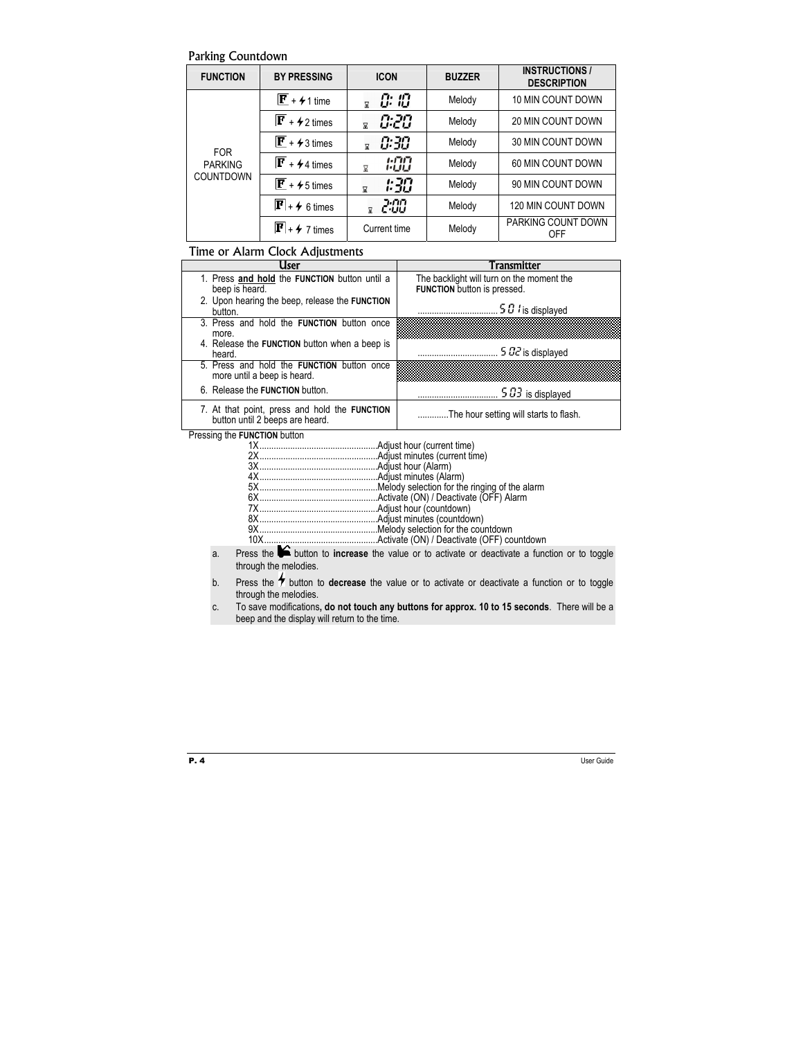### Parking Countdown

| <b>FUNCTION</b>                           | <b>BY PRESSING</b>            | <b>ICON</b>                     | <b>BUZZER</b> | <b>INSTRUCTIONS /</b><br><b>DESCRIPTION</b> |
|-------------------------------------------|-------------------------------|---------------------------------|---------------|---------------------------------------------|
|                                           | $\mathbf{F}$ + $\neq$ 1 time  | 0: 10<br>Χ                      | Melody        | 10 MIN COUNT DOWN                           |
|                                           | $\mathbf{F}$ + $\neq$ 2 times | 0:20<br>$\overline{\mathbf{x}}$ | Melody        | <b>20 MIN COUNT DOWN</b>                    |
| <b>FOR</b><br><b>PARKING</b><br>COUNTDOWN | $\mathbf{F}$ + 4 3 times      | 0:30<br>冨                       | Melody        | 30 MIN COUNT DOWN                           |
|                                           | $\mathbf{F}$ + 4 times        | 1:00<br>⊠                       | Melody        | 60 MIN COUNT DOWN                           |
|                                           | $\mathbf{F}$ + $\neq$ 5 times | 1:30<br>⊠                       | Melody        | 90 MIN COUNT DOWN                           |
|                                           | $\mathbf{F}$ + $\neq$ 6 times | 2:00                            | Melody        | 120 MIN COUNT DOWN                          |
|                                           | $\mathbf{F}$ + $\neq$ 7 times | Current time                    | Melody        | PARKING COUNT DOWN<br>OFF                   |

## Time or Alarm Clock Adjustments

| User                                                                             | Transmitter                               |
|----------------------------------------------------------------------------------|-------------------------------------------|
| 1. Press and hold the FUNCTION button until a                                    | The backlight will turn on the moment the |
| beep is heard.                                                                   | FUNCTION button is pressed.               |
| 2. Upon hearing the beep, release the FUNCTION<br>button.                        | .5 $\sigma$ <i>i</i> is displayed         |
| 3. Press and hold the <b>FUNCTION</b> button once                                |                                           |
| more.                                                                            |                                           |
| 4. Release the FUNCTION button when a beep is                                    |                                           |
| heard.                                                                           | $502$ is displayed                        |
| 5. Press and hold the <b>FUNCTION</b> button once<br>more until a beep is heard. |                                           |
| 6. Release the FUNCTION button.                                                  | $.503$ is displayed                       |
| 7. At that point, press and hold the FUNCTION button until 2 beeps are heard.    | The hour setting will starts to flash.    |

Pressing the **FUNCTION** button

a. Press the button to **increase** the value or to activate or deactivate a function or to toggle through the melodies.

b. Press the  $\bigstar$  button to **decrease** the value or to activate or deactivate a function or to toggle through the melodies.

c. To save modifications**, do not touch any buttons for approx. 10 to 15 seconds**. There will be a beep and the display will return to the time.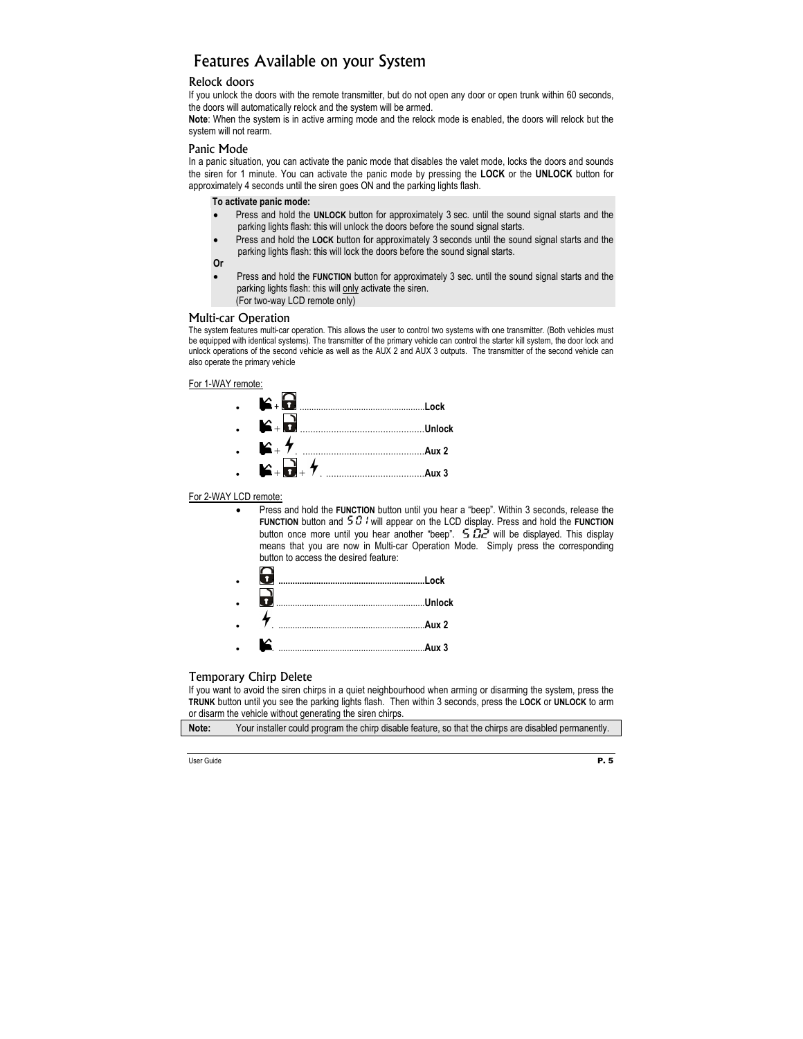# Features Available on your System

#### Relock doors

If you unlock the doors with the remote transmitter, but do not open any door or open trunk within 60 seconds, the doors will automatically relock and the system will be armed.

**Note**: When the system is in active arming mode and the relock mode is enabled, the doors will relock but the system will not rearm.

#### Panic Mode

In a panic situation, you can activate the panic mode that disables the valet mode, locks the doors and sounds the siren for 1 minute. You can activate the panic mode by pressing the **LOCK** or the **UNLOCK** button for approximately 4 seconds until the siren goes ON and the parking lights flash.

#### **To activate panic mode:**

- Press and hold the **UNLOCK** button for approximately 3 sec. until the sound signal starts and the parking lights flash: this will unlock the doors before the sound signal starts.
- Press and hold the **LOCK** button for approximately 3 seconds until the sound signal starts and the parking lights flash: this will lock the doors before the sound signal starts.

**Or** 

• Press and hold the **FUNCTION** button for approximately 3 sec. until the sound signal starts and the parking lights flash: this will only activate the siren. (For two-way LCD remote only)

#### Multi-car Operation

The system features multi-car operation. This allows the user to control two systems with one transmitter. (Both vehicles must be equipped with identical systems). The transmitter of the primary vehicle can control the starter kill system, the door lock and unlock operations of the second vehicle as well as the AUX 2 and AUX 3 outputs. The transmitter of the second vehicle can also operate the primary vehicle

For 1-WAY remote:



#### For 2-WAY LCD remote:

• Press and hold the **FUNCTION** button until you hear a "beep". Within 3 seconds, release the **FUNCTION** button and  $50$  i will appear on the LCD display. Press and hold the **FUNCTION** button once more until you hear another "beep".  $5\ddot{\Omega}$  will be displayed. This display means that you are now in Multi-car Operation Mode. Simply press the corresponding button to access the desired feature:

|            | Aux 2 |
|------------|-------|
| <b>SEC</b> | Aux 3 |

#### Temporary Chirp Delete

If you want to avoid the siren chirps in a quiet neighbourhood when arming or disarming the system, press the **TRUNK** button until you see the parking lights flash. Then within 3 seconds, press the **LOCK** or **UNLOCK** to arm or disarm the vehicle without generating the siren chirps.

**Note:** Your installer could program the chirp disable feature, so that the chirps are disabled permanently.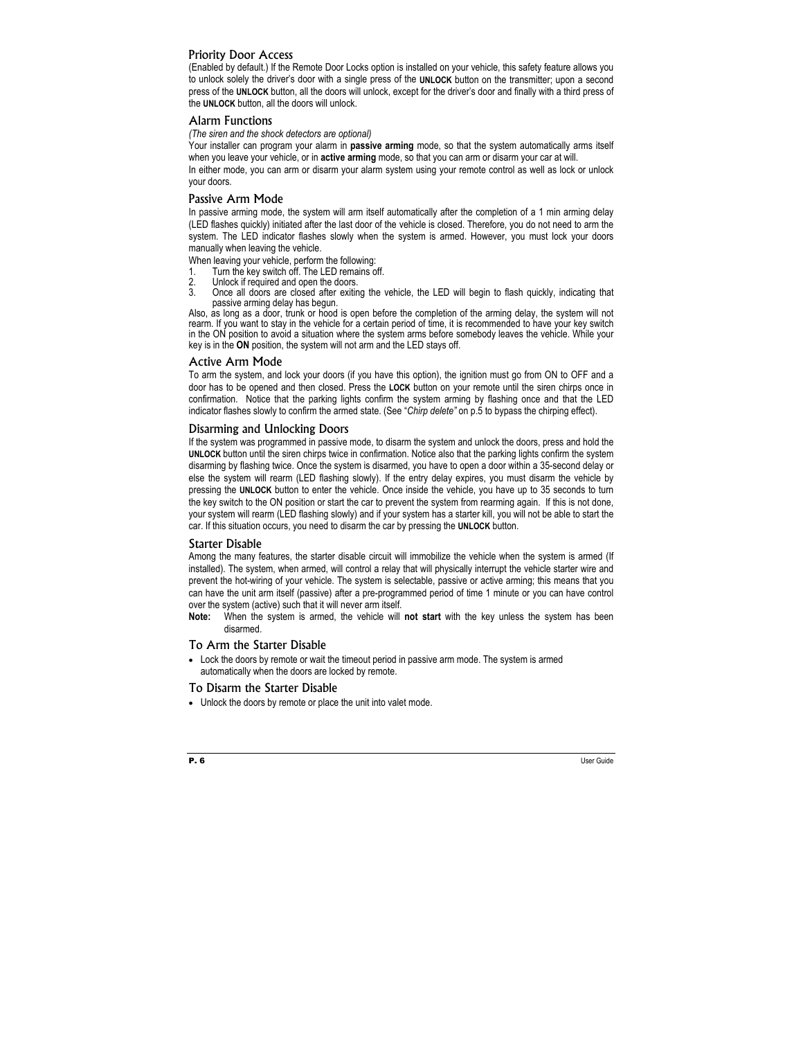#### Priority Door Access

(Enabled by default.) If the Remote Door Locks option is installed on your vehicle, this safety feature allows you to unlock solely the driver's door with a single press of the **UNLOCK** button on the transmitter; upon a second press of the **UNLOCK** button, all the doors will unlock, except for the driver's door and finally with a third press of the **UNLOCK** button, all the doors will unlock.

#### Alarm Functions

*(The siren and the shock detectors are optional)* 

Your installer can program your alarm in **passive arming** mode, so that the system automatically arms itself when you leave your vehicle, or in **active arming** mode, so that you can arm or disarm your car at will.

In either mode, you can arm or disarm your alarm system using your remote control as well as lock or unlock your doors.

#### Passive Arm Mode

In passive arming mode, the system will arm itself automatically after the completion of a 1 min arming delay (LED flashes quickly) initiated after the last door of the vehicle is closed. Therefore, you do not need to arm the system. The LED indicator flashes slowly when the system is armed. However, you must lock your doors manually when leaving the vehicle.

When leaving your vehicle, perform the following:<br>1 Turn the kev switch off. The LED remains o

- 1. Turn the key switch off. The LED remains off.<br>2. Unlock if required and open the doors
- 2. Unlock if required and open the doors.<br>3. Once all doors are closed after exiting
- 3. Once all doors are closed after exiting the vehicle, the LED will begin to flash quickly, indicating that passive arming delay has begun.

Also, as long as a door, trunk or hood is open before the completion of the arming delay, the system will not rearm. If you want to stay in the vehicle for a certain period of time, it is recommended to have your key switch in the ON position to avoid a situation where the system arms before somebody leaves the vehicle. While your key is in the **ON** position, the system will not arm and the LED stays off.

#### Active Arm Mode

To arm the system, and lock your doors (if you have this option), the ignition must go from ON to OFF and a door has to be opened and then closed. Press the **LOCK** button on your remote until the siren chirps once in confirmation. Notice that the parking lights confirm the system arming by flashing once and that the LED indicator flashes slowly to confirm the armed state. (See "*Chirp delete"* on p.5 to bypass the chirping effect).

#### Disarming and Unlocking Doors

If the system was programmed in passive mode, to disarm the system and unlock the doors, press and hold the **UNLOCK** button until the siren chirps twice in confirmation. Notice also that the parking lights confirm the system disarming by flashing twice. Once the system is disarmed, you have to open a door within a 35-second delay or else the system will rearm (LED flashing slowly). If the entry delay expires, you must disarm the vehicle by pressing the **UNLOCK** button to enter the vehicle. Once inside the vehicle, you have up to 35 seconds to turn the key switch to the ON position or start the car to prevent the system from rearming again. If this is not done, your system will rearm (LED flashing slowly) and if your system has a starter kill, you will not be able to start the car. If this situation occurs, you need to disarm the car by pressing the **UNLOCK** button.

#### Starter Disable

Among the many features, the starter disable circuit will immobilize the vehicle when the system is armed (If installed). The system, when armed, will control a relay that will physically interrupt the vehicle starter wire and prevent the hot-wiring of your vehicle. The system is selectable, passive or active arming; this means that you can have the unit arm itself (passive) after a pre-programmed period of time 1 minute or you can have control over the system (active) such that it will never arm itself.

**Note:** When the system is armed, the vehicle will **not start** with the key unless the system has been disarmed.

#### To Arm the Starter Disable

• Lock the doors by remote or wait the timeout period in passive arm mode. The system is armed automatically when the doors are locked by remote.

#### To Disarm the Starter Disable

• Unlock the doors by remote or place the unit into valet mode.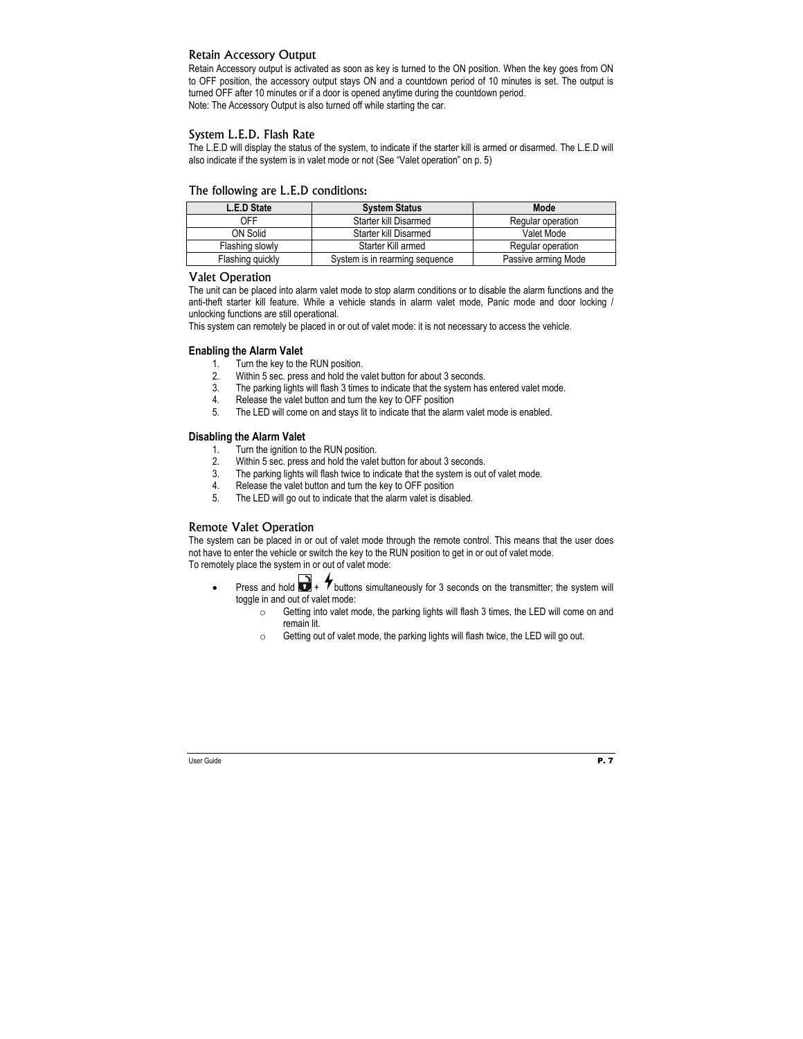#### Retain Accessory Output

Retain Accessory output is activated as soon as key is turned to the ON position. When the key goes from ON to OFF position, the accessory output stays ON and a countdown period of 10 minutes is set. The output is turned OFF after 10 minutes or if a door is opened anytime during the countdown period. Note: The Accessory Output is also turned off while starting the car.

#### System L.E.D. Flash Rate

The L.E.D will display the status of the system, to indicate if the starter kill is armed or disarmed. The L.E.D will also indicate if the system is in valet mode or not (See "Valet operation" on p. 5)

| L.E.D State      | <b>System Status</b>           | Mode                |
|------------------|--------------------------------|---------------------|
| OFF              | Starter kill Disarmed          | Regular operation   |
| ON Solid         | Starter kill Disarmed          | Valet Mode          |
| Flashing slowly  | Starter Kill armed             | Regular operation   |
| Flashing quickly | System is in rearming sequence | Passive arming Mode |

#### The following are L.E.D conditions:

#### Valet Operation

The unit can be placed into alarm valet mode to stop alarm conditions or to disable the alarm functions and the anti-theft starter kill feature. While a vehicle stands in alarm valet mode, Panic mode and door locking / unlocking functions are still operational.

This system can remotely be placed in or out of valet mode: it is not necessary to access the vehicle.

#### **Enabling the Alarm Valet**

- 1. Turn the key to the RUN position.
- 2. Within 5 sec. press and hold the valet button for about 3 seconds.
- 3. The parking lights will flash 3 times to indicate that the system has entered valet mode.<br>4. Release the valet button and turn the key to OFF nosition
- Release the valet button and turn the key to OFF position
- 5. The LED will come on and stays lit to indicate that the alarm valet mode is enabled.

#### **Disabling the Alarm Valet**

- 1. Turn the ignition to the RUN position.
- 2. Within 5 sec. press and hold the valet button for about 3 seconds.
- 3. The parking lights will flash twice to indicate that the system is out of valet mode.
- 4. Release the valet button and turn the key to OFF position
- 5. The LED will go out to indicate that the alarm valet is disabled.

#### Remote Valet Operation

The system can be placed in or out of valet mode through the remote control. This means that the user does not have to enter the vehicle or switch the key to the RUN position to get in or out of valet mode.

To remotely place the system in or out of valet mode:

- Press and hold  $\Box$  +  $\bigtriangledown$  buttons simultaneously for 3 seconds on the transmitter; the system will toggle in and out of valet mode:
	- o Getting into valet mode, the parking lights will flash 3 times, the LED will come on and remain lit.
	- o Getting out of valet mode, the parking lights will flash twice, the LED will go out.